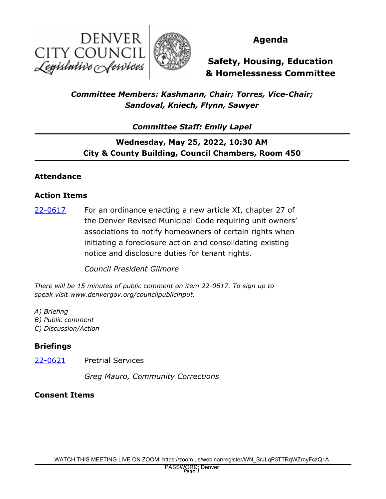



### **Agenda**

**Safety, Housing, Education & Homelessness Committee**

## *Committee Members: Kashmann, Chair; Torres, Vice-Chair; Sandoval, Kniech, Flynn, Sawyer*

*Committee Staff: Emily Lapel*

# **Wednesday, May 25, 2022, 10:30 AM City & County Building, Council Chambers, Room 450**

### **Attendance**

#### **Action Items**

For an ordinance enacting a new article XI, chapter 27 of the Denver Revised Municipal Code requiring unit owners' associations to notify homeowners of certain rights when initiating a foreclosure action and consolidating existing notice and disclosure duties for tenant rights. [22-0617](http://denver.legistar.com/gateway.aspx?m=l&id=/matter.aspx?key=21684)

*Council President Gilmore*

*There will be 15 minutes of public comment on item 22-0617. To sign up to speak visit www.denvergov.org/councilpublicinput.* 

- *A) Briefing*
- *B) Public comment*
- *C) Discussion/Action*

### **Briefings**

[22-0621](http://denver.legistar.com/gateway.aspx?m=l&id=/matter.aspx?key=21688) Pretrial Services

*Greg Mauro, Community Corrections*

### **Consent Items**